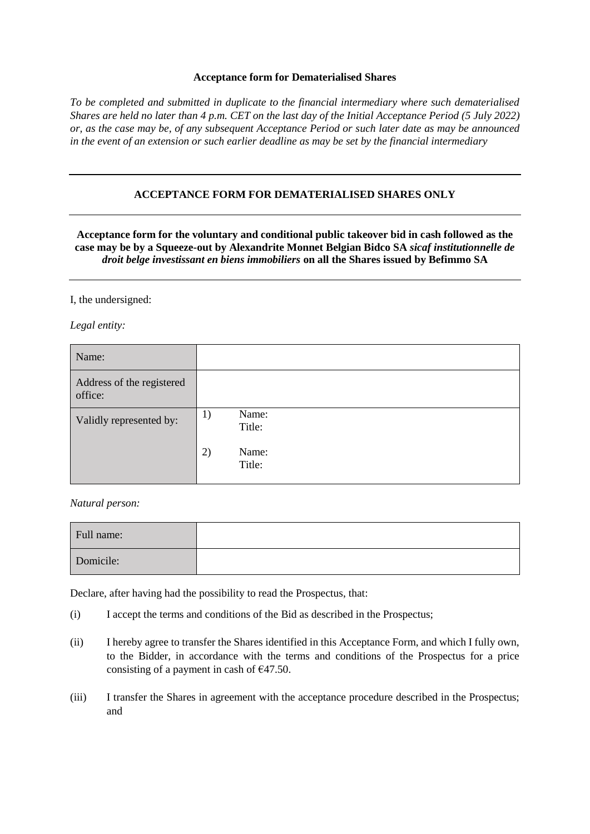## **Acceptance form for Dematerialised Shares**

*To be completed and submitted in duplicate to the financial intermediary where such dematerialised Shares are held no later than 4 p.m. CET on the last day of the Initial Acceptance Period (5 July 2022) or, as the case may be, of any subsequent Acceptance Period or such later date as may be announced in the event of an extension or such earlier deadline as may be set by the financial intermediary*

## **ACCEPTANCE FORM FOR DEMATERIALISED SHARES ONLY**

**Acceptance form for the voluntary and conditional public takeover bid in cash followed as the case may be by a Squeeze-out by Alexandrite Monnet Belgian Bidco SA** *sicaf institutionnelle de droit belge investissant en biens immobiliers* **on all the Shares issued by Befimmo SA**

I, the undersigned:

*Legal entity:*

| Name:                                |                       |
|--------------------------------------|-----------------------|
| Address of the registered<br>office: |                       |
| Validly represented by:              | Name:<br>1)<br>Title: |
|                                      | 2)<br>Name:<br>Title: |

*Natural person:*

| Full name: |  |
|------------|--|
| Domicile:  |  |

Declare, after having had the possibility to read the Prospectus, that:

- (i) I accept the terms and conditions of the Bid as described in the Prospectus;
- (ii) I hereby agree to transfer the Shares identified in this Acceptance Form, and which I fully own, to the Bidder, in accordance with the terms and conditions of the Prospectus for a price consisting of a payment in cash of  $\epsilon$ 47.50.
- (iii) I transfer the Shares in agreement with the acceptance procedure described in the Prospectus; and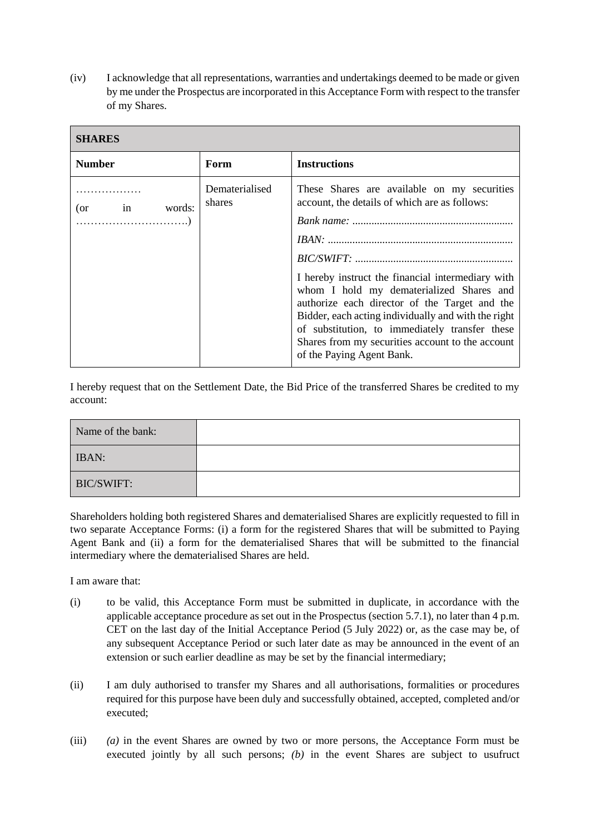(iv) I acknowledge that all representations, warranties and undertakings deemed to be made or given by me under the Prospectus are incorporated in this Acceptance Form with respect to the transfer of my Shares.

| <b>SHARES</b>           |                          |                                                                                                                                                                                                                                                                                                                                                                                                             |  |
|-------------------------|--------------------------|-------------------------------------------------------------------------------------------------------------------------------------------------------------------------------------------------------------------------------------------------------------------------------------------------------------------------------------------------------------------------------------------------------------|--|
| <b>Number</b>           | Form                     | <b>Instructions</b>                                                                                                                                                                                                                                                                                                                                                                                         |  |
| $\sin$<br>words:<br>(or | Dematerialised<br>shares | These Shares are available on my securities<br>account, the details of which are as follows:<br>I hereby instruct the financial intermediary with<br>whom I hold my dematerialized Shares and<br>authorize each director of the Target and the<br>Bidder, each acting individually and with the right<br>of substitution, to immediately transfer these<br>Shares from my securities account to the account |  |
|                         |                          | of the Paying Agent Bank.                                                                                                                                                                                                                                                                                                                                                                                   |  |

I hereby request that on the Settlement Date, the Bid Price of the transferred Shares be credited to my account:

| Name of the bank: |  |
|-------------------|--|
| <b>IBAN:</b>      |  |
| <b>BIC/SWIFT:</b> |  |

Shareholders holding both registered Shares and dematerialised Shares are explicitly requested to fill in two separate Acceptance Forms: (i) a form for the registered Shares that will be submitted to Paying Agent Bank and (ii) a form for the dematerialised Shares that will be submitted to the financial intermediary where the dematerialised Shares are held.

I am aware that:

- (i) to be valid, this Acceptance Form must be submitted in duplicate, in accordance with the applicable acceptance procedure as set out in the Prospectus (section 5.7.1), no later than 4 p.m. CET on the last day of the Initial Acceptance Period (5 July 2022) or, as the case may be, of any subsequent Acceptance Period or such later date as may be announced in the event of an extension or such earlier deadline as may be set by the financial intermediary;
- (ii) I am duly authorised to transfer my Shares and all authorisations, formalities or procedures required for this purpose have been duly and successfully obtained, accepted, completed and/or executed;
- (iii) *(a)* in the event Shares are owned by two or more persons, the Acceptance Form must be executed jointly by all such persons; *(b)* in the event Shares are subject to usufruct